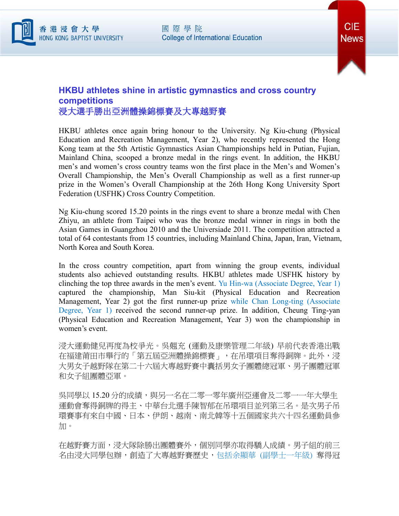



## **HKBU athletes shine in artistic gymnastics and cross country competitions** 浸大選手勝出亞洲體操錦標賽及大專越野賽

HKBU athletes once again bring honour to the University. Ng Kiu-chung (Physical Education and Recreation Management, Year 2), who recently represented the Hong Kong team at the 5th Artistic Gymnastics Asian Championships held in Putian, Fujian, Mainland China, scooped a bronze medal in the rings event. In addition, the HKBU men's and women's cross country teams won the first place in the Men's and Women's Overall Championship, the Men's Overall Championship as well as a first runner-up prize in the Women's Overall Championship at the 26th Hong Kong University Sport Federation (USFHK) Cross Country Competition.

Ng Kiu-chung scored 15.20 points in the rings event to share a bronze medal with Chen Zhiyu, an athlete from Taipei who was the bronze medal winner in rings in both the Asian Games in Guangzhou 2010 and the Universiade 2011. The competition attracted a total of 64 contestants from 15 countries, including Mainland China, Japan, Iran, Vietnam, North Korea and South Korea.

In the cross country competition, apart from winning the group events, individual students also achieved outstanding results. HKBU athletes made USFHK history by clinching the top three awards in the men's event. Yu Hin-wa (Associate Degree, Year 1) captured the championship, Man Siu-kit (Physical Education and Recreation Management, Year 2) got the first runner-up prize while Chan Long-ting (Associate Degree, Year 1) received the second runner-up prize. In addition, Cheung Ting-yan (Physical Education and Recreation Management, Year 3) won the championship in women's event.

浸大運動健兒再度為校爭光。吳翹充 (運動及康樂管理二年級) 早前代表香港出戰 在福建莆田市舉行的「第五屆亞洲體操錦標賽」,在吊環項目奪得銅牌。此外,浸 大男女子越野隊在第二十六屆大專越野賽中囊括男女子團體總冠軍、男子團體冠軍 和女子組團體亞軍。

吳同學以 15.20分的成績,與另一名在二零一零年廣州亞運會及二零一一年大學生 運動會奪得銅牌的得主、中華台北選手陳智郁在吊環項目並列第三名。是次男子吊 環賽事有來自中國、日本、伊朗、越南、南北韓等十五個國家共六十四名運動員參 加。

在越野賽方面,浸大隊除勝出團體賽外,個別同學亦取得驕人成績。男子組的前三 名由浸大同學包辦,創造了大專越野賽歷史,包括余顯華 (副學士一年級) 奪得冠